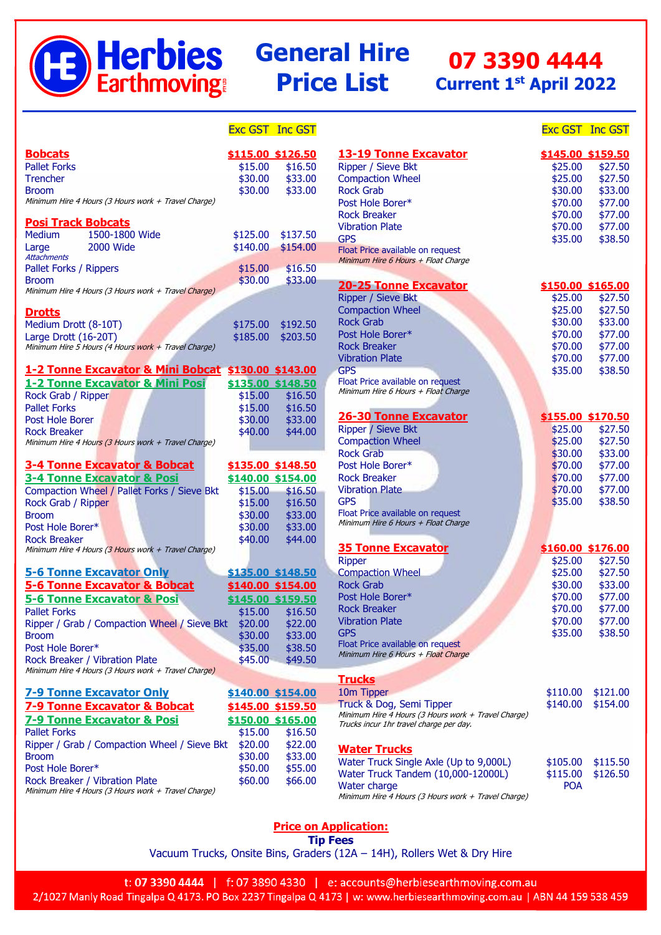

# **General Hire Price List**

# **07 3390 4444 Current 1 st April 2022**

|                                                                                       | <b>Exc GST Inc GST</b> |                   |                                                     | <b>Exc GST Inc GST</b> |          |
|---------------------------------------------------------------------------------------|------------------------|-------------------|-----------------------------------------------------|------------------------|----------|
| <b>Bobcats</b>                                                                        |                        | \$115.00 \$126.50 | <b>13-19 Tonne Excavator</b>                        | \$145.00 \$159.50      |          |
| <b>Pallet Forks</b>                                                                   | \$15.00                | \$16.50           | Ripper / Sieve Bkt                                  | \$25.00                | \$27.50  |
| <b>Trencher</b>                                                                       | \$30.00                | \$33.00           | <b>Compaction Wheel</b>                             | \$25.00                | \$27.50  |
| <b>Broom</b>                                                                          | \$30.00                | \$33.00           | <b>Rock Grab</b>                                    | \$30.00                | \$33.00  |
| Minimum Hire 4 Hours (3 Hours work + Travel Charge)                                   |                        |                   | Post Hole Borer*                                    | \$70.00                | \$77.00  |
|                                                                                       |                        |                   | <b>Rock Breaker</b>                                 | \$70.00                | \$77.00  |
| <b>Posi Track Bobcats</b>                                                             |                        |                   | <b>Vibration Plate</b>                              | \$70.00                | \$77.00  |
| 1500-1800 Wide<br><b>Medium</b>                                                       | \$125.00               | \$137.50          | <b>GPS</b>                                          | \$35.00                | \$38.50  |
| <b>2000 Wide</b><br>Large                                                             | \$140.00               | \$154.00          | Float Price available on request                    |                        |          |
| <b>Attachments</b>                                                                    |                        |                   | Minimum Hire 6 Hours + Float Charge                 |                        |          |
| Pallet Forks / Rippers                                                                | \$15.00                | \$16.50           |                                                     |                        |          |
| <b>Broom</b>                                                                          | \$30.00                | \$33.00           | <b>20-25 Tonne Excavator</b>                        | \$150.00 \$165.00      |          |
| Minimum Hire 4 Hours (3 Hours work + Travel Charge)                                   |                        |                   | Ripper / Sieve Bkt                                  | \$25.00                | \$27.50  |
| <b>Drotts</b>                                                                         |                        |                   | <b>Compaction Wheel</b>                             | \$25.00                | \$27.50  |
| Medium Drott (8-10T)                                                                  | \$175.00               | \$192.50          | <b>Rock Grab</b>                                    | \$30.00                | \$33.00  |
|                                                                                       | \$185.00               |                   | Post Hole Borer*                                    | \$70.00                | \$77.00  |
| Large Drott (16-20T)<br>Minimum Hire 5 Hours (4 Hours work + Travel Charge)           |                        | \$203.50          | <b>Rock Breaker</b>                                 | \$70.00                | \$77.00  |
|                                                                                       |                        |                   | <b>Vibration Plate</b>                              | \$70.00                | \$77.00  |
| 1-2 Tonne Excavator & Mini Bobcat \$130.00 \$143.00                                   |                        |                   | <b>GPS</b>                                          | \$35.00                | \$38.50  |
|                                                                                       |                        |                   | Float Price available on request                    |                        |          |
| 1-2 Tonne Excavator & Mini Posi                                                       |                        | \$135.00 \$148.50 | Minimum Hire 6 Hours + Float Charge                 |                        |          |
| Rock Grab / Ripper                                                                    | \$15.00                | \$16.50           |                                                     |                        |          |
| <b>Pallet Forks</b>                                                                   | \$15.00                | \$16.50           | <b>26-30 Tonne Excavator</b>                        | \$155.00 \$170.50      |          |
| Post Hole Borer                                                                       | \$30.00                | \$33.00           |                                                     |                        |          |
| <b>Rock Breaker</b>                                                                   | \$40.00                | \$44.00           | Ripper / Sieve Bkt                                  | \$25.00                | \$27.50  |
| Minimum Hire 4 Hours (3 Hours work + Travel Charge)                                   |                        |                   | <b>Compaction Wheel</b>                             | \$25.00                | \$27.50  |
|                                                                                       |                        |                   | <b>Rock Grab</b>                                    | \$30.00                | \$33.00  |
| <b>3-4 Tonne Excavator &amp; Bobcat</b>                                               |                        | \$135.00 \$148.50 | Post Hole Borer*                                    | \$70.00                | \$77.00  |
| 3-4 Tonne Excavator & Posi                                                            | \$140.00 \$154.00      |                   | <b>Rock Breaker</b>                                 | \$70.00                | \$77.00  |
| Compaction Wheel / Pallet Forks / Sieve Bkt                                           | \$15.00                | \$16.50           | <b>Vibration Plate</b>                              | \$70.00                | \$77.00  |
| Rock Grab / Ripper                                                                    | \$15.00                | \$16.50           | <b>GPS</b>                                          | \$35.00                | \$38.50  |
| <b>Broom</b>                                                                          | \$30.00                | \$33.00           | Float Price available on request                    |                        |          |
| Post Hole Borer*                                                                      | \$30.00                | \$33.00           | Minimum Hire 6 Hours + Float Charge                 |                        |          |
| <b>Rock Breaker</b>                                                                   | \$40.00                | \$44.00           |                                                     |                        |          |
| Minimum Hire 4 Hours (3 Hours work + Travel Charge)                                   |                        |                   | <b>35 Tonne Excavator</b>                           | \$160.00 \$176.00      |          |
|                                                                                       |                        |                   | <b>Ripper</b>                                       | \$25.00                | \$27.50  |
| <b>5-6 Tonne Excavator Only</b>                                                       | \$135.00 \$148.50      |                   | <b>Compaction Wheel</b>                             | \$25.00                | \$27.50  |
| 5-6 Tonne Excavator & Bobcat                                                          |                        | \$140.00 \$154.00 | <b>Rock Grab</b>                                    | \$30.00                | \$33.00  |
| <b>5-6 Tonne Excavator &amp; Posi</b>                                                 |                        | \$145.00 \$159.50 | Post Hole Borer*                                    | \$70.00                | \$77.00  |
| <b>Pallet Forks</b>                                                                   | \$15.00                | \$16.50           | <b>Rock Breaker</b>                                 | \$70.00                | \$77.00  |
| Ripper / Grab / Compaction Wheel / Sieve Bkt                                          | \$20.00                | \$22.00           | <b>Vibration Plate</b>                              | \$70.00                | \$77.00  |
| <b>Broom</b>                                                                          | \$30.00                | \$33.00           | <b>GPS</b>                                          | \$35.00                | \$38.50  |
| Post Hole Borer*                                                                      | \$35.00                | \$38.50           | Float Price available on request                    |                        |          |
|                                                                                       |                        |                   | Minimum Hire 6 Hours + Float Charge                 |                        |          |
| Rock Breaker / Vibration Plate<br>Minimum Hire 4 Hours (3 Hours work + Travel Charge) | \$45.00                | \$49.50           |                                                     |                        |          |
|                                                                                       |                        |                   | <b>Trucks</b>                                       |                        |          |
| <b>7-9 Tonne Excavator Only</b>                                                       | \$140.00 \$154.00      |                   | 10m Tipper                                          | \$110.00               | \$121.00 |
| 7-9 Tonne Excavator & Bobcat                                                          |                        | \$145.00 \$159.50 | Truck & Dog, Semi Tipper                            | \$140.00               | \$154.00 |
|                                                                                       |                        |                   | Minimum Hire 4 Hours (3 Hours work + Travel Charge) |                        |          |
| <b>7-9 Tonne Excavator &amp; Posi</b>                                                 |                        | \$150.00 \$165.00 | Trucks incur 1hr travel charge per day.             |                        |          |
| <b>Pallet Forks</b>                                                                   | \$15.00                | \$16.50           |                                                     |                        |          |
| Ripper / Grab / Compaction Wheel / Sieve Bkt                                          | \$20.00                | \$22.00           | <b>Water Trucks</b>                                 |                        |          |
| <b>Broom</b>                                                                          | \$30.00                | \$33.00           | Water Truck Single Axle (Up to 9,000L)              | \$105.00               | \$115.50 |
| Post Hole Borer*                                                                      | \$50.00                | \$55.00           | Water Truck Tandem (10,000-12000L)                  | \$115.00               | \$126.50 |
| Rock Breaker / Vibration Plate                                                        | \$60.00                | \$66.00           | Water charge                                        | <b>POA</b>             |          |
| Minimum Hire 4 Hours (3 Hours work + Travel Charge)                                   |                        |                   |                                                     |                        |          |

**Price on Application: Tip Fees**

Vacuum Trucks, Onsite Bins, Graders (12A – 14H), Rollers Wet & Dry Hire

t: 07 3390 4444 | f: 07 3890 4330 | e: accounts@herbiesearthmoving.com.au 2/1027 Manly Road Tingalpa Q 4173. PO Box 2237 Tingalpa Q 4173 | w: www.herbiesearthmoving.com.au | ABN 44 159 538 459